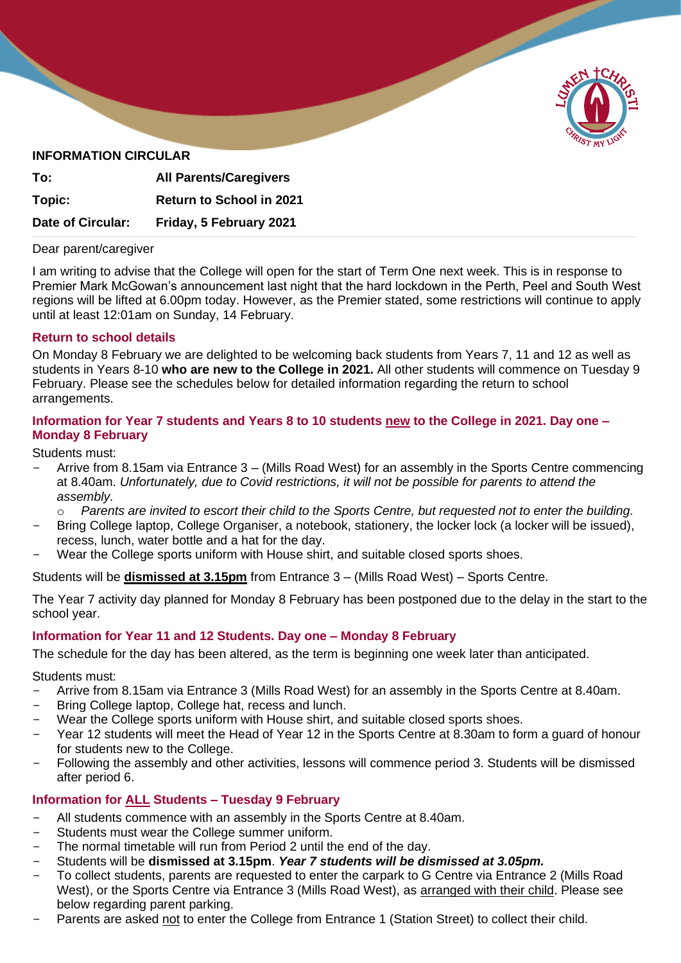

# **INFORMATION CIRCULAR**

| To:               | <b>All Parents/Caregivers</b>   |  |
|-------------------|---------------------------------|--|
| Topic:            | <b>Return to School in 2021</b> |  |
| Date of Circular: | Friday, 5 February 2021         |  |

#### Dear parent/caregiver

 $\overline{\phantom{a}}$ 

I am writing to advise that the College will open for the start of Term One next week. This is in response to Premier Mark McGowan's announcement last night that the hard lockdown in the Perth, Peel and South West regions will be lifted at 6.00pm today. However, as the Premier stated, some restrictions will continue to apply until at least 12:01am on Sunday, 14 February.

### **Return to school details**

On Monday 8 February we are delighted to be welcoming back students from Years 7, 11 and 12 as well as students in Years 8-10 **who are new to the College in 2021.** All other students will commence on Tuesday 9 February. Please see the schedules below for detailed information regarding the return to school arrangements.

### **Information for Year 7 students and Years 8 to 10 students new to the College in 2021. Day one – Monday 8 February**

Students must:

- Arrive from 8.15am via Entrance 3 (Mills Road West) for an assembly in the Sports Centre commencing at 8.40am. *Unfortunately, due to Covid restrictions, it will not be possible for parents to attend the assembly.*
	- o *Parents are invited to escort their child to the Sports Centre, but requested not to enter the building.*
- Bring College laptop, College Organiser, a notebook, stationery, the locker lock (a locker will be issued), recess, lunch, water bottle and a hat for the day.
- Wear the College sports uniform with House shirt, and suitable closed sports shoes.

Students will be **dismissed at 3.15pm** from Entrance 3 – (Mills Road West) – Sports Centre.

The Year 7 activity day planned for Monday 8 February has been postponed due to the delay in the start to the school year.

### **Information for Year 11 and 12 Students. Day one – Monday 8 February**

The schedule for the day has been altered, as the term is beginning one week later than anticipated.

Students must:

- Arrive from 8.15am via Entrance 3 (Mills Road West) for an assembly in the Sports Centre at 8.40am.
- Bring College laptop, College hat, recess and lunch.
- Wear the College sports uniform with House shirt, and suitable closed sports shoes.
- Year 12 students will meet the Head of Year 12 in the Sports Centre at 8.30am to form a guard of honour for students new to the College.
- Following the assembly and other activities, lessons will commence period 3. Students will be dismissed after period 6.

# **Information for ALL Students – Tuesday 9 February**

- All students commence with an assembly in the Sports Centre at 8.40am.
- Students must wear the College summer uniform.
- The normal timetable will run from Period 2 until the end of the day.
- Students will be **dismissed at 3.15pm**. *Year 7 students will be dismissed at 3.05pm.*
- To collect students, parents are requested to enter the carpark to G Centre via Entrance 2 (Mills Road West), or the Sports Centre via Entrance 3 (Mills Road West), as arranged with their child. Please see below regarding parent parking.
- Parents are asked not to enter the College from Entrance 1 (Station Street) to collect their child.